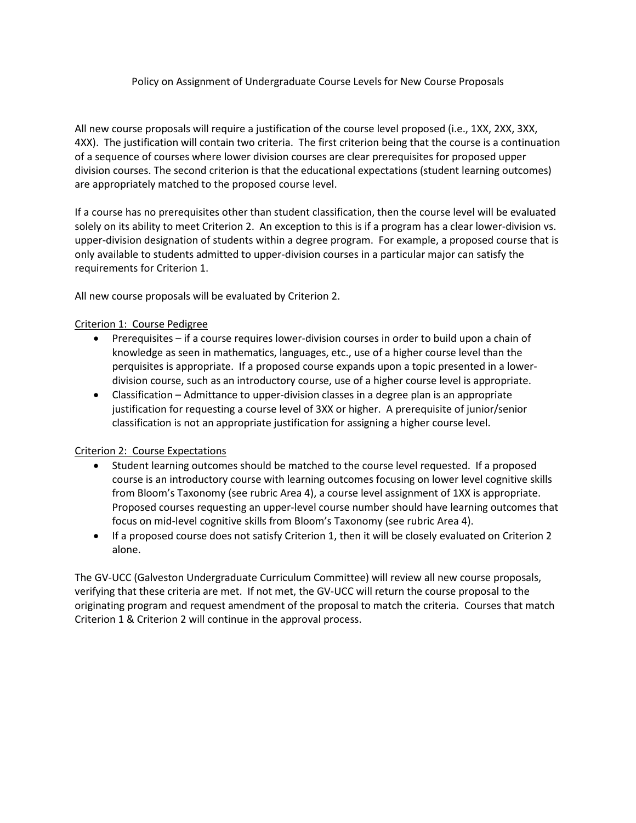### Policy on Assignment of Undergraduate Course Levels for New Course Proposals

All new course proposals will require a justification of the course level proposed (i.e., 1XX, 2XX, 3XX, 4XX). The justification will contain two criteria. The first criterion being that the course is a continuation of a sequence of courses where lower division courses are clear prerequisites for proposed upper division courses. The second criterion is that the educational expectations (student learning outcomes) are appropriately matched to the proposed course level.

If a course has no prerequisites other than student classification, then the course level will be evaluated solely on its ability to meet Criterion 2. An exception to this is if a program has a clear lower-division vs. upper-division designation of students within a degree program. For example, a proposed course that is only available to students admitted to upper-division courses in a particular major can satisfy the requirements for Criterion 1.

All new course proposals will be evaluated by Criterion 2.

# Criterion 1: Course Pedigree

- Prerequisites if a course requires lower-division courses in order to build upon a chain of knowledge as seen in mathematics, languages, etc., use of a higher course level than the perquisites is appropriate. If a proposed course expands upon a topic presented in a lowerdivision course, such as an introductory course, use of a higher course level is appropriate.
- Classification Admittance to upper-division classes in a degree plan is an appropriate justification for requesting a course level of 3XX or higher. A prerequisite of junior/senior classification is not an appropriate justification for assigning a higher course level.

### Criterion 2: Course Expectations

- Student learning outcomes should be matched to the course level requested. If a proposed course is an introductory course with learning outcomes focusing on lower level cognitive skills from Bloom's Taxonomy (see rubric Area 4), a course level assignment of 1XX is appropriate. Proposed courses requesting an upper-level course number should have learning outcomes that focus on mid-level cognitive skills from Bloom's Taxonomy (see rubric Area 4).
- If a proposed course does not satisfy Criterion 1, then it will be closely evaluated on Criterion 2 alone.

The GV-UCC (Galveston Undergraduate Curriculum Committee) will review all new course proposals, verifying that these criteria are met. If not met, the GV-UCC will return the course proposal to the originating program and request amendment of the proposal to match the criteria. Courses that match Criterion 1 & Criterion 2 will continue in the approval process.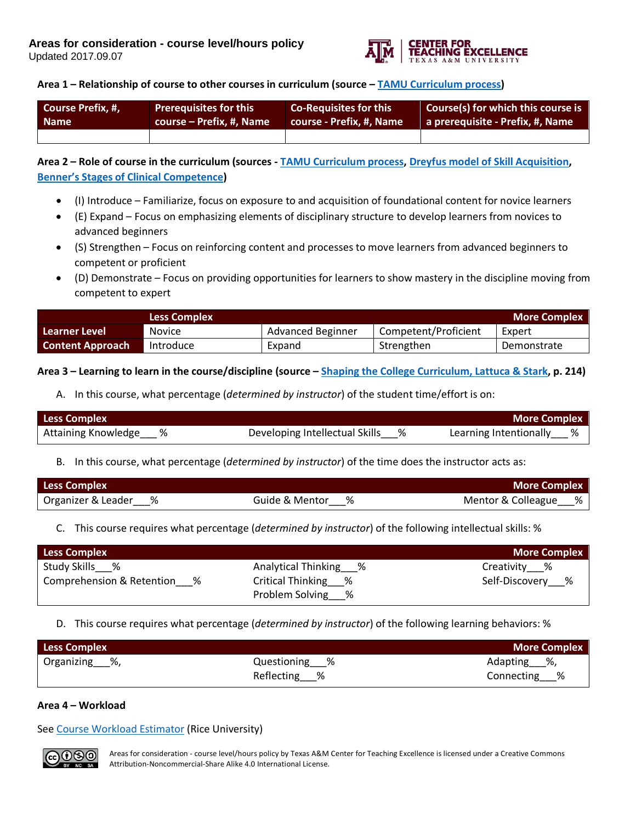

## **Area 1 – Relationship of course to other courses in curriculum (source – TAMU Curriculum process)**

| Course Prefix, #, | <b>Prerequisites for this</b> | <b>Co-Requisites for this</b> | Course(s) for which this course is |
|-------------------|-------------------------------|-------------------------------|------------------------------------|
| <b>Name</b>       | course – Prefix, #, Name      | course - Prefix, #, Name      | a prerequisite - Prefix, #, Name   |
|                   |                               |                               |                                    |

**Area 2 – Role of course in the curriculum (sources - [TAMU Curriculum process,](http://cte.tamu.edu/Faculty-Teaching-Resource/Program-ReDesign) [Dreyfus model of Skill Acquisition,](https://en.wikipedia.org/wiki/Dreyfus_model_of_skill_acquisition) [Benner's Stages of Clinical Competence\)](http://www.health.nsw.gov.au/nursing/projects/Documents/novice-expert-benner.pdf)**

- (I) Introduce Familiarize, focus on exposure to and acquisition of foundational content for novice learners
- (E) Expand Focus on emphasizing elements of disciplinary structure to develop learners from novices to advanced beginners
- (S) Strengthen Focus on reinforcing content and processes to move learners from advanced beginners to competent or proficient
- (D) Demonstrate Focus on providing opportunities for learners to show mastery in the discipline moving from competent to expert

| <b>Less Complex</b>     |               |                   | <b>More Complex</b>  |             |  |
|-------------------------|---------------|-------------------|----------------------|-------------|--|
| Learner Level           | <b>Novice</b> | Advanced Beginner | Competent/Proficient | Expert      |  |
| <b>Content Approach</b> | Introduce     | Expand            | Strengthen           | Demonstrate |  |

## **Area 3 – Learning to learn in the course/discipline (source – [Shaping the College Curriculum, Lattuca & Stark,](https://www.amazon.com/Shaping-College-Curriculum-Academic-Context/dp/0787985554) p. 214)**

A. In this course, what percentage (*determined by instructor*) of the student time/effort is on:

| <b>Less Complex</b>   |                                  | <b>More Complex</b>      |
|-----------------------|----------------------------------|--------------------------|
| Attaining Knowledge % | Developing Intellectual Skills % | Learning Intentionally % |

B. In this course, what percentage (*determined by instructor*) of the time does the instructor acts as:

| <b>Less Complex</b>  |                  | <b>More Complex</b>  |
|----------------------|------------------|----------------------|
| Organizer & Leader % | Guide & Mentor % | Mentor & Colleague % |

# C. This course requires what percentage (*determined by instructor*) of the following intellectual skills: %

| <b>More Complex</b><br><b>Less Complex</b> |                       |                  |  |  |
|--------------------------------------------|-----------------------|------------------|--|--|
| Study Skills %                             | Analytical Thinking % | Creativity %     |  |  |
| Comprehension & Retention<br>%             | Critical Thinking %   | Self-Discovery % |  |  |
|                                            | Problem Solving %     |                  |  |  |

### D. This course requires what percentage (*determined by instructor*) of the following learning behaviors: %

| <b>Less Complex</b><br><b>More Complex</b> |               |                |  |  |
|--------------------------------------------|---------------|----------------|--|--|
| Organizing %,                              | Questioning % | Adapting %,    |  |  |
|                                            | Reflecting %  | Connecting___% |  |  |

### **Area 4 – Workload**

See [Course Workload Estimator](http://cte.rice.edu/workload/) (Rice University)



Areas for consideration - course level/hours policy by Texas A&M Center for Teaching Excellence is licensed under a Creative Commons Attribution-Noncommercial-Share Alike 4.0 International License.